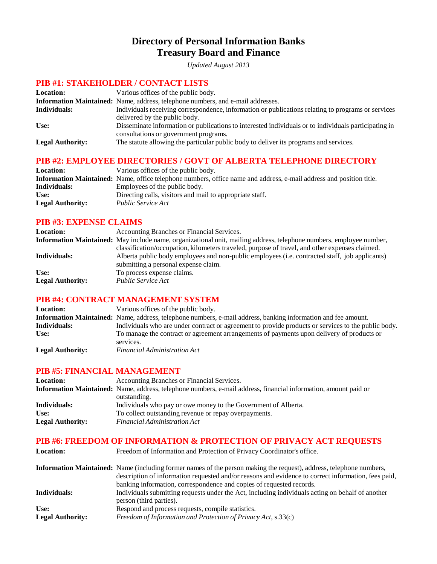# **Directory of Personal Information Banks Treasury Board and Finance**

*Updated August 2013*

### **PIB #1: STAKEHOLDER / CONTACT LISTS**

| <b>Location:</b>        | Various offices of the public body.                                                                                                           |
|-------------------------|-----------------------------------------------------------------------------------------------------------------------------------------------|
|                         | <b>Information Maintained:</b> Name, address, telephone numbers, and e-mail addresses.                                                        |
| Individuals:            | Individuals receiving correspondence, information or publications relating to programs or services                                            |
|                         | delivered by the public body.                                                                                                                 |
| Use:                    | Disseminate information or publications to interested individuals or to individuals participating in<br>consultations or government programs. |
| <b>Legal Authority:</b> | The statute allowing the particular public body to deliver its programs and services.                                                         |

### **PIB #2: EMPLOYEE DIRECTORIES / GOVT OF ALBERTA TELEPHONE DIRECTORY**

| <b>Location:</b>        | Various offices of the public body.                                                                                 |
|-------------------------|---------------------------------------------------------------------------------------------------------------------|
|                         | Information Maintained: Name, office telephone numbers, office name and address, e-mail address and position title. |
| Individuals:            | Employees of the public body.                                                                                       |
| Use:                    | Directing calls, visitors and mail to appropriate staff.                                                            |
| <b>Legal Authority:</b> | <i>Public Service Act</i>                                                                                           |

#### **PIB #3: EXPENSE CLAIMS**

| <b>Location:</b>        | Accounting Branches or Financial Services.                                                                          |
|-------------------------|---------------------------------------------------------------------------------------------------------------------|
|                         | Information Maintained: May include name, organizational unit, mailing address, telephone numbers, employee number, |
|                         | classification/occupation, kilometers traveled, purpose of travel, and other expenses claimed.                      |
| Individuals:            | Alberta public body employees and non-public employees (i.e. contracted staff, job applicants)                      |
|                         | submitting a personal expense claim.                                                                                |
| Use:                    | To process expense claims.                                                                                          |
| <b>Legal Authority:</b> | <i>Public Service Act</i>                                                                                           |

#### **PIB #4: CONTRACT MANAGEMENT SYSTEM**

| <b>Location:</b>        | Various offices of the public body.                                                                           |
|-------------------------|---------------------------------------------------------------------------------------------------------------|
|                         | Information Maintained: Name, address, telephone numbers, e-mail address, banking information and fee amount. |
| Individuals:            | Individuals who are under contract or agreement to provide products or services to the public body.           |
| Use:                    | To manage the contract or agreement arrangements of payments upon delivery of products or                     |
|                         | services.                                                                                                     |
| <b>Legal Authority:</b> | <b>Financial Administration Act</b>                                                                           |

#### **PIB #5: FINANCIAL MANAGEMENT**

| <b>Location:</b>        | Accounting Branches or Financial Services.                                                                             |
|-------------------------|------------------------------------------------------------------------------------------------------------------------|
|                         | <b>Information Maintained:</b> Name, address, telephone numbers, e-mail address, financial information, amount paid or |
|                         | outstanding.                                                                                                           |
| Individuals:            | Individuals who pay or owe money to the Government of Alberta.                                                         |
| Use:                    | To collect outstanding revenue or repay overpayments.                                                                  |
| <b>Legal Authority:</b> | <b>Financial Administration Act</b>                                                                                    |

#### **PIB #6: FREEDOM OF INFORMATION & PROTECTION OF PRIVACY ACT REQUESTS**

| <b>Location:</b>        | Freedom of Information and Protection of Privacy Coordinator's office.                                                                                                                                                                                                                                    |
|-------------------------|-----------------------------------------------------------------------------------------------------------------------------------------------------------------------------------------------------------------------------------------------------------------------------------------------------------|
|                         | <b>Information Maintained:</b> Name (including former names of the person making the request), address, telephone numbers,<br>description of information requested and/or reasons and evidence to correct information, fees paid,<br>banking information, correspondence and copies of requested records. |
| Individuals:            | Individuals submitting requests under the Act, including individuals acting on behalf of another<br>person (third parties).                                                                                                                                                                               |
| Use:                    | Respond and process requests, compile statistics.                                                                                                                                                                                                                                                         |
| <b>Legal Authority:</b> | Freedom of Information and Protection of Privacy Act, s.33(c)                                                                                                                                                                                                                                             |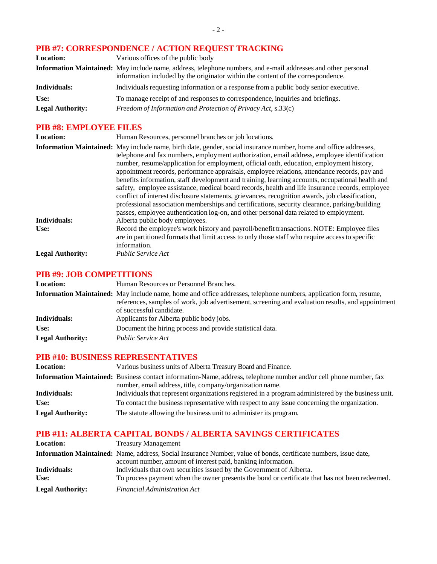# **PIB #7: CORRESPONDENCE / ACTION REQUEST TRACKING**

| <b>Location:</b>        | Various offices of the public body                                                                                                                                                                |
|-------------------------|---------------------------------------------------------------------------------------------------------------------------------------------------------------------------------------------------|
|                         | Information Maintained: May include name, address, telephone numbers, and e-mail addresses and other personal<br>information included by the originator within the content of the correspondence. |
| Individuals:            | Individuals requesting information or a response from a public body senior executive.                                                                                                             |
| Use:                    | To manage receipt of and responses to correspondence, inquiries and briefings.                                                                                                                    |
| <b>Legal Authority:</b> | Freedom of Information and Protection of Privacy Act, s.33(c)                                                                                                                                     |

## **PIB #8: EMPLOYEE FILES**

| <b>Location:</b>        | Human Resources, personnel branches or job locations.                                                                                                                                                                                                                                                                                                                                                                                                                                                                                                                                                                                                                                                                                                                                                                                                                                                             |
|-------------------------|-------------------------------------------------------------------------------------------------------------------------------------------------------------------------------------------------------------------------------------------------------------------------------------------------------------------------------------------------------------------------------------------------------------------------------------------------------------------------------------------------------------------------------------------------------------------------------------------------------------------------------------------------------------------------------------------------------------------------------------------------------------------------------------------------------------------------------------------------------------------------------------------------------------------|
|                         | Information Maintained: May include name, birth date, gender, social insurance number, home and office addresses,<br>telephone and fax numbers, employment authorization, email address, employee identification<br>number, resume/application for employment, official oath, education, employment history,<br>appointment records, performance appraisals, employee relations, attendance records, pay and<br>benefits information, staff development and training, learning accounts, occupational health and<br>safety, employee assistance, medical board records, health and life insurance records, employee<br>conflict of interest disclosure statements, grievances, recognition awards, job classification,<br>professional association memberships and certifications, security clearance, parking/building<br>passes, employee authentication log-on, and other personal data related to employment. |
| Individuals:            | Alberta public body employees.                                                                                                                                                                                                                                                                                                                                                                                                                                                                                                                                                                                                                                                                                                                                                                                                                                                                                    |
| Use:                    | Record the employee's work history and payroll/benefit transactions. NOTE: Employee files<br>are in partitioned formats that limit access to only those staff who require access to specific<br>information.                                                                                                                                                                                                                                                                                                                                                                                                                                                                                                                                                                                                                                                                                                      |
| <b>Legal Authority:</b> | <i>Public Service Act</i>                                                                                                                                                                                                                                                                                                                                                                                                                                                                                                                                                                                                                                                                                                                                                                                                                                                                                         |

#### **PIB #9: JOB COMPETITIONS**

| <b>Location:</b>        | Human Resources or Personnel Branches.                                                                                                                                                                                 |
|-------------------------|------------------------------------------------------------------------------------------------------------------------------------------------------------------------------------------------------------------------|
|                         | Information Maintained: May include name, home and office addresses, telephone numbers, application form, resume,<br>references, samples of work, job advertisement, screening and evaluation results, and appointment |
| Individuals:            | of successful candidate.<br>Applicants for Alberta public body jobs.                                                                                                                                                   |
| Use:                    | Document the hiring process and provide statistical data.                                                                                                                                                              |
| <b>Legal Authority:</b> | <i>Public Service Act</i>                                                                                                                                                                                              |

#### **PIB #10: BUSINESS REPRESENTATIVES**

| <b>Location:</b>        | Various business units of Alberta Treasury Board and Finance.                                                                                                                  |
|-------------------------|--------------------------------------------------------------------------------------------------------------------------------------------------------------------------------|
|                         | Information Maintained: Business contact information-Name, address, telephone number and/or cell phone number, fax<br>number, email address, title, company/organization name. |
| Individuals:            | Individuals that represent organizations registered in a program administered by the business unit.                                                                            |
| Use:                    | To contact the business representative with respect to any issue concerning the organization.                                                                                  |
| <b>Legal Authority:</b> | The statute allowing the business unit to administer its program.                                                                                                              |

# **PIB #11: ALBERTA CAPITAL BONDS / ALBERTA SAVINGS CERTIFICATES**

| <b>Location:</b>        | <b>Treasury Management</b>                                                                                       |
|-------------------------|------------------------------------------------------------------------------------------------------------------|
|                         | Information Maintained: Name, address, Social Insurance Number, value of bonds, certificate numbers, issue date, |
|                         | account number, amount of interest paid, banking information.                                                    |
| Individuals:            | Individuals that own securities issued by the Government of Alberta.                                             |
| Use:                    | To process payment when the owner presents the bond or certificate that has not been redeemed.                   |
| <b>Legal Authority:</b> | <i>Financial Administration Act</i>                                                                              |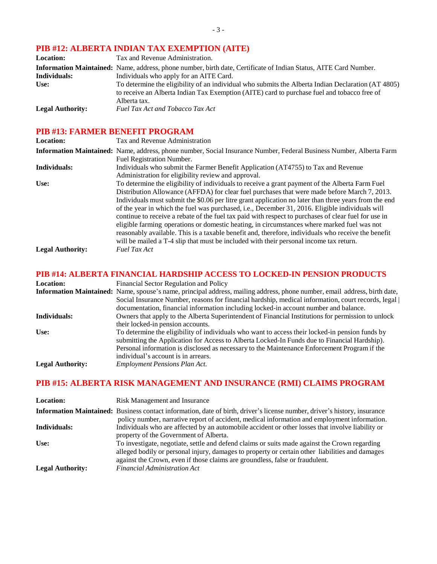# **PIB #12: ALBERTA INDIAN TAX EXEMPTION (AITE)**

| <b>Location:</b>        | Tax and Revenue Administration.                                                                                  |
|-------------------------|------------------------------------------------------------------------------------------------------------------|
|                         | Information Maintained: Name, address, phone number, birth date, Certificate of Indian Status, AITE Card Number. |
| Individuals:            | Individuals who apply for an AITE Card.                                                                          |
| Use:                    | To determine the eligibility of an individual who submits the Alberta Indian Declaration (AT 4805)               |
|                         | to receive an Alberta Indian Tax Exemption (AITE) card to purchase fuel and tobacco free of                      |
|                         | Alberta tax.                                                                                                     |
| <b>Legal Authority:</b> | Fuel Tax Act and Tobacco Tax Act                                                                                 |

### **PIB #13: FARMER BENEFIT PROGRAM**

| <b>Location:</b>        | Tax and Revenue Administration                                                                                                                                                                                                                                                                                                                                                                                                                                                                                                                                                                                                                                                                                            |
|-------------------------|---------------------------------------------------------------------------------------------------------------------------------------------------------------------------------------------------------------------------------------------------------------------------------------------------------------------------------------------------------------------------------------------------------------------------------------------------------------------------------------------------------------------------------------------------------------------------------------------------------------------------------------------------------------------------------------------------------------------------|
|                         | <b>Information Maintained:</b> Name, address, phone number, Social Insurance Number, Federal Business Number, Alberta Farm<br>Fuel Registration Number.                                                                                                                                                                                                                                                                                                                                                                                                                                                                                                                                                                   |
| Individuals:            | Individuals who submit the Farmer Benefit Application (AT4755) to Tax and Revenue<br>Administration for eligibility review and approval.                                                                                                                                                                                                                                                                                                                                                                                                                                                                                                                                                                                  |
| Use:                    | To determine the eligibility of individuals to receive a grant payment of the Alberta Farm Fuel<br>Distribution Allowance (AFFDA) for clear fuel purchases that were made before March 7, 2013.<br>Individuals must submit the \$0.06 per litre grant application no later than three years from the end<br>of the year in which the fuel was purchased, i.e., December 31, 2016. Eligible individuals will<br>continue to receive a rebate of the fuel tax paid with respect to purchases of clear fuel for use in<br>eligible farming operations or domestic heating, in circumstances where marked fuel was not<br>reasonably available. This is a taxable benefit and, therefore, individuals who receive the benefit |
| <b>Legal Authority:</b> | will be mailed a T-4 slip that must be included with their personal income tax return.<br><b>Fuel Tax Act</b>                                                                                                                                                                                                                                                                                                                                                                                                                                                                                                                                                                                                             |

#### **PIB #14: ALBERTA FINANCIAL HARDSHIP ACCESS TO LOCKED-IN PENSION PRODUCTS**

| <b>Location:</b>        | Financial Sector Regulation and Policy                                                                                                                                                                                                                                                          |
|-------------------------|-------------------------------------------------------------------------------------------------------------------------------------------------------------------------------------------------------------------------------------------------------------------------------------------------|
|                         | Information Maintained: Name, spouse's name, principal address, mailing address, phone number, email address, birth date,                                                                                                                                                                       |
|                         | Social Insurance Number, reasons for financial hardship, medical information, court records, legal                                                                                                                                                                                              |
|                         | documentation, financial information including locked-in account number and balance.                                                                                                                                                                                                            |
| Individuals:            | Owners that apply to the Alberta Superintendent of Financial Institutions for permission to unlock                                                                                                                                                                                              |
|                         | their locked-in pension accounts.                                                                                                                                                                                                                                                               |
| Use:                    | To determine the eligibility of individuals who want to access their locked-in pension funds by<br>submitting the Application for Access to Alberta Locked-In Funds due to Financial Hardship).<br>Personal information is disclosed as necessary to the Maintenance Enforcement Program if the |
|                         | individual's account is in arrears.                                                                                                                                                                                                                                                             |
| <b>Legal Authority:</b> | <b>Employment Pensions Plan Act.</b>                                                                                                                                                                                                                                                            |

# **PIB #15: ALBERTA RISK MANAGEMENT AND INSURANCE (RMI) CLAIMS PROGRAM**

| <b>Location:</b>        | Risk Management and Insurance                                                                                                                                                                                                                                                    |
|-------------------------|----------------------------------------------------------------------------------------------------------------------------------------------------------------------------------------------------------------------------------------------------------------------------------|
|                         | <b>Information Maintained:</b> Business contact information, date of birth, driver's license number, driver's history, insurance<br>policy number, narrative report of accident, medical information and employment information.                                                 |
| Individuals:            | Individuals who are affected by an automobile accident or other losses that involve liability or<br>property of the Government of Alberta.                                                                                                                                       |
| Use:                    | To investigate, negotiate, settle and defend claims or suits made against the Crown regarding<br>alleged bodily or personal injury, damages to property or certain other liabilities and damages<br>against the Crown, even if those claims are groundless, false or fraudulent. |
| <b>Legal Authority:</b> | <b>Financial Administration Act</b>                                                                                                                                                                                                                                              |